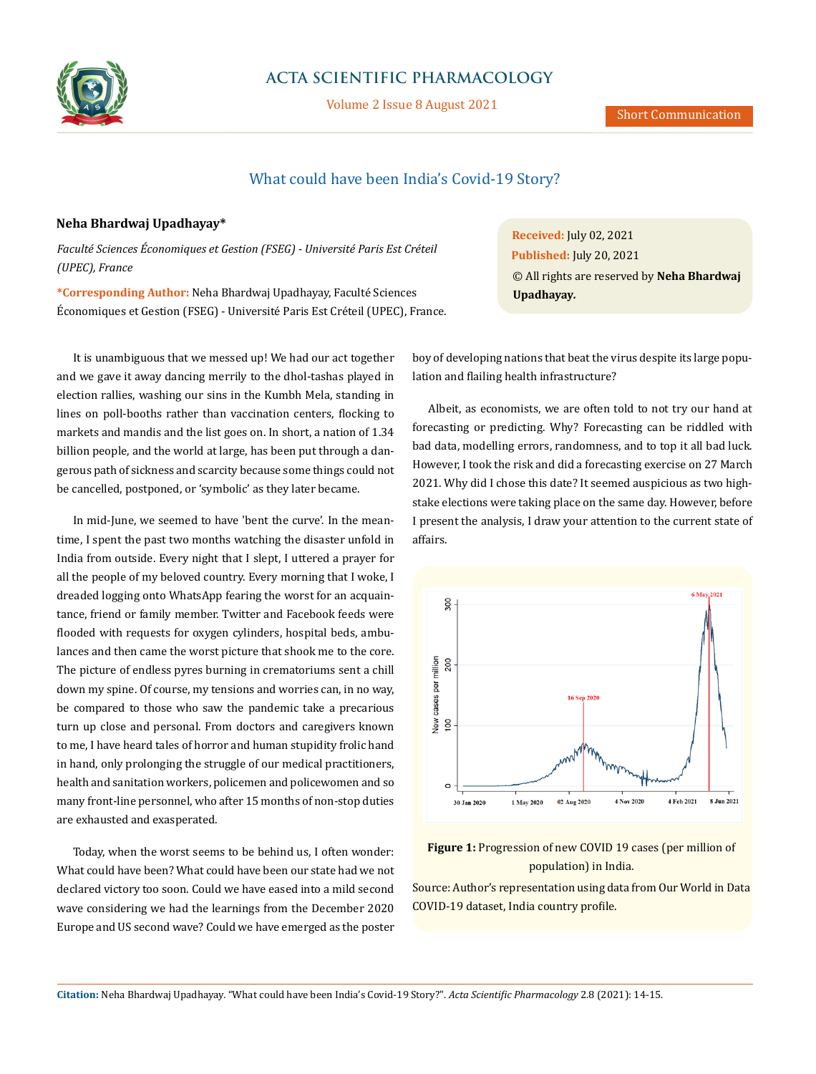

## **ACTA SCIENTIFIC PHARMACOLOGY**

Volume 2 Issue 8 August 2021

## What could have been India's Covid-19 Story?

## **Neha Bhardwaj Upadhayay\***

*Faculté Sciences Économiques et Gestion (FSEG) - Université Paris Est Créteil (UPEC), France*

**\*Corresponding Author:** Neha Bhardwaj Upadhayay, Faculté Sciences Économiques et Gestion (FSEG) - Université Paris Est Créteil (UPEC), France.

It is unambiguous that we messed up! We had our act together and we gave it away dancing merrily to the dhol-tashas played in election rallies, washing our sins in the [Kumbh Mela](https://thewire.in/government/kumbh-2021-astrology-mortality-and-the-indifference-to-life-of-leaders-and-stars), standing in lines on [poll-booths](https://www.hindustantimes.com/elections/west-bengal-election-2021-live-voting-for-8th-and-final-phase-to-begin-at-7am-101619654067541.html) rather than [vaccination centers](https://www.sciencemag.org/news/2021/05/why-world-s-largest-covid-19-vaccine-campaign-faltering), flocking to [markets and mandis](https://www.hindustantimes.com/india-news/no-masks-social-distancing-covid-19-safety-rules-violated-in-delhi-s-ghazipur-market-101617168183677.html) and the list goes on. In short, a nation of 1.34 billion people, and the world at large, has been put through a dangerous path of sickness and scarcity because some things could not be cancelled, postponed, or ['symbolic'](https://www.livemint.com/news/india/pm-modi-says-kumbh-mela-should-now-only-be-symbolic-to-strengthen-covid-19-fight-11618630984604.html) as they later became.

In mid-June, we seemed to have 'bent the curv[e'](https://graphics.reuters.com/world-coronavirus-tracker-and-maps/countries-and-territories/india/). In the meantime, I spent the past two months watching the disaster unfold in India from outside. Every night that I slept, I uttered a prayer for all the people of my beloved country. Every morning that I woke, I dreaded logging onto WhatsApp fearing the worst for an acquaintance, friend or family member. Twitter and Facebook feeds were flooded with requests for [oxygen cylinders, hospital beds, ambu](https://www.bbc.com/news/uk-56841381)[lances](https://www.bbc.com/news/uk-56841381) and then came the worst picture that shook me to the core. The picture of endless pyres burning in crematoriums sent a chill down my spine. Of course, my tensions and worries can, in no way, be compared to those who saw the pandemic take a precarious turn up close and personal. From doctors and caregivers known to me, I have heard tales of horror and human stupidity frolic hand in hand, only prolonging the [struggle of our medical practitioners,](https://www.business-standard.com/article/current-affairs/exhausted-helpless-doctors-struggle-to-keep-sinking-health-system-afloat-121042901595_1.html) health and sanitation workers, policemen and policewomen and so many front-line personnel, who after 15 months of non-stop duties are exhausted and exasperated.

Today, when the worst seems to be behind us, I often wonder: What could have been? What could have been our state had we not declared victory too soon. Could we have eased into a mild second wave considering we had the learnings from the December 2020 [Europe and US second wave?](https://www.nytimes.com/interactive/2020/12/04/world/europe/europe-covid-deaths.html) Could we have emerged as the poster **Received:** July 02, 2021 **Published:** July 20, 2021 © All rights are reserved by **Neha Bhardwaj Upadhayay***.*

boy of developing nations that beat the virus despite its large population and flailing health [infrastructure](https://www.livemint.com/news/india/covid-2-0-lifts-lid-off-india-s-health-infrastructure-system-11618424294305.html)?

Albeit, as economists, we are often told to not try our hand at forecasting or predicting. Why? Forecasting can be riddled with bad data, modelling errors, randomness, and to top it all bad luck. However, I took the risk and did a forecasting exercise on 27 March 2021. Why did I chose this date? It seemed auspicious as two highstake elections were taking place on the same day. However, before I present the analysis, I draw your attention to the current state of affairs.





Source: Author's representation using data from Our World in Data COVID-19 dataset, India country profile.